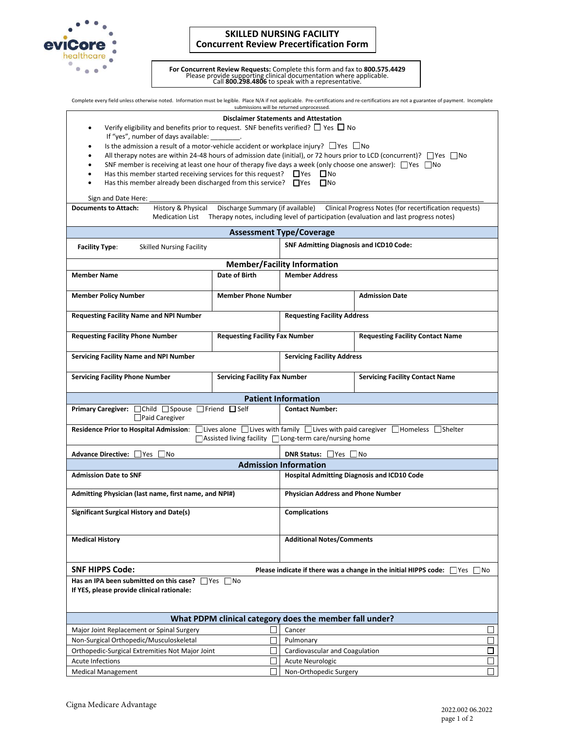

## **SKILLED NURSING FACILITY Concurrent Review Precertification Form**

For Concurrent Review Requests: Complete this form and fax to 800.575.4429<br>Please provide supporting clinical documentation where applicable.<br>Call 800.298.4806 to speak with a representative.

Complete every field unless otherwise noted. Information must be legible. Place N/A if not applicable. Pre-certifications and re-certifications are not a guarantee of payment. Incomplete submissions will be returned unprocessed.

## **Disclaimer Statements and Attestation**

- Verify eligibility and benefits prior to request. SNF benefits verified?  $\Box$  Yes  $\Box$  No If "yes", number of days available:
- Is the admission a result of a motor-vehicle accident or workplace injury?  $\Box$  Yes  $\Box$  No
- All therapy notes are within 24-48 hours of admission date (initial), or 72 hours prior to LCD (concurrent)?  $\Box$  Yes  $\Box$  No
- SNF member is receiving at least one hour of therapy five days a week (only choose one answer):  $\Box$  Yes  $\Box$  No
- Has this member started receiving services for this request?  $\Box$  Yes  $\Box$  No
- Has this member already been discharged from this service?  $\Box$  Yes  $\Box$  No

## Sign and Date Here:

**Documents to Attach:** History & Physical Discharge Summary (if available) Clinical Progress Notes (for recertification requests) Medication List Therapy notes, including level of participation (evaluation and last progress notes)

| <b>Assessment Type/Coverage</b>                                                                                                                                                 |                                       |                                                    |                                         |  |  |  |  |  |
|---------------------------------------------------------------------------------------------------------------------------------------------------------------------------------|---------------------------------------|----------------------------------------------------|-----------------------------------------|--|--|--|--|--|
| <b>Skilled Nursing Facility</b><br><b>Facility Type:</b>                                                                                                                        |                                       | <b>SNF Admitting Diagnosis and ICD10 Code:</b>     |                                         |  |  |  |  |  |
| <b>Member/Facility Information</b>                                                                                                                                              |                                       |                                                    |                                         |  |  |  |  |  |
| <b>Member Name</b>                                                                                                                                                              | <b>Date of Birth</b>                  | <b>Member Address</b>                              |                                         |  |  |  |  |  |
| <b>Member Phone Number</b><br><b>Member Policy Number</b>                                                                                                                       |                                       |                                                    | <b>Admission Date</b>                   |  |  |  |  |  |
| <b>Requesting Facility Name and NPI Number</b>                                                                                                                                  |                                       | <b>Requesting Facility Address</b>                 |                                         |  |  |  |  |  |
| <b>Requesting Facility Phone Number</b>                                                                                                                                         | <b>Requesting Facility Fax Number</b> |                                                    | <b>Requesting Facility Contact Name</b> |  |  |  |  |  |
| <b>Servicing Facility Name and NPI Number</b>                                                                                                                                   |                                       | <b>Servicing Facility Address</b>                  |                                         |  |  |  |  |  |
| <b>Servicing Facility Phone Number</b>                                                                                                                                          | <b>Servicing Facility Fax Number</b>  |                                                    | <b>Servicing Facility Contact Name</b>  |  |  |  |  |  |
| <b>Patient Information</b>                                                                                                                                                      |                                       |                                                    |                                         |  |  |  |  |  |
| Primary Caregiver: Child Spouse Friend Self<br>Paid Caregiver                                                                                                                   |                                       | <b>Contact Number:</b>                             |                                         |  |  |  |  |  |
| Residence Prior to Hospital Admission: Uives alone Ulives with family Ulives with paid caregiver UHomeless UShelter<br>□ Assisted living facility □ Long-term care/nursing home |                                       |                                                    |                                         |  |  |  |  |  |
| Advance Directive: Yes No<br><b>DNR Status:</b> Yes No                                                                                                                          |                                       |                                                    |                                         |  |  |  |  |  |
| <b>Admission Information</b>                                                                                                                                                    |                                       |                                                    |                                         |  |  |  |  |  |
| <b>Admission Date to SNF</b>                                                                                                                                                    |                                       | <b>Hospital Admitting Diagnosis and ICD10 Code</b> |                                         |  |  |  |  |  |
| Admitting Physician (last name, first name, and NPI#)                                                                                                                           |                                       | <b>Physician Address and Phone Number</b>          |                                         |  |  |  |  |  |
| <b>Significant Surgical History and Date(s)</b>                                                                                                                                 |                                       | <b>Complications</b>                               |                                         |  |  |  |  |  |
| <b>Medical History</b>                                                                                                                                                          |                                       | <b>Additional Notes/Comments</b>                   |                                         |  |  |  |  |  |
| <b>SNF HIPPS Code:</b><br>Please indicate if there was a change in the initial HIPPS code: $\Box$ Yes $\Box$ No                                                                 |                                       |                                                    |                                         |  |  |  |  |  |
| Has an IPA been submitted on this case? $\Box$ Yes $\Box$ No<br>If YES, please provide clinical rationale:                                                                      |                                       |                                                    |                                         |  |  |  |  |  |
| What PDPM clinical category does the member fall under?                                                                                                                         |                                       |                                                    |                                         |  |  |  |  |  |
| Major Joint Replacement or Spinal Surgery                                                                                                                                       |                                       | Cancer                                             |                                         |  |  |  |  |  |
| Non-Surgical Orthopedic/Musculoskeletal                                                                                                                                         |                                       | П<br>Pulmonary                                     |                                         |  |  |  |  |  |
| Orthopedic-Surgical Extremities Not Major Joint                                                                                                                                 |                                       | $\Box$<br>Cardiovascular and Coagulation           |                                         |  |  |  |  |  |
| <b>Acute Infections</b>                                                                                                                                                         |                                       | П<br><b>Acute Neurologic</b>                       |                                         |  |  |  |  |  |
| <b>Medical Management</b>                                                                                                                                                       |                                       | Non-Orthopedic Surgery                             |                                         |  |  |  |  |  |